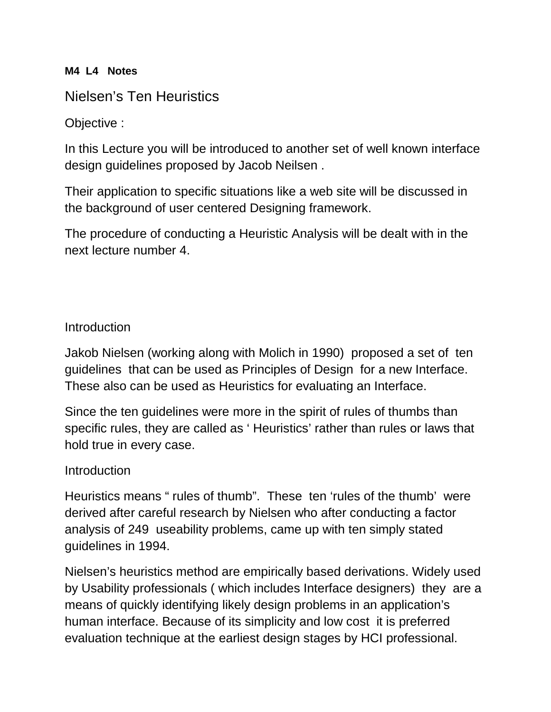## **M4 L4 Notes**

# Nielsen's Ten Heuristics

## Objective :

In this Lecture you will be introduced to another set of well known interface design guidelines proposed by Jacob Neilsen .

Their application to specific situations like a web site will be discussed in the background of user centered Designing framework.

The procedure of conducting a Heuristic Analysis will be dealt with in the next lecture number 4.

## **Introduction**

Jakob Nielsen (working along with Molich in 1990) proposed a set of ten guidelines that can be used as Principles of Design for a new Interface. These also can be used as Heuristics for evaluating an Interface.

Since the ten guidelines were more in the spirit of rules of thumbs than specific rules, they are called as ' Heuristics' rather than rules or laws that hold true in every case.

## **Introduction**

Heuristics means " rules of thumb". These ten 'rules of the thumb' were derived after careful research by Nielsen who after conducting a factor analysis of 249 useability problems, came up with ten simply stated guidelines in 1994.

Nielsen's heuristics method are empirically based derivations. Widely used by Usability professionals ( which includes Interface designers) they are a means of quickly identifying likely design problems in an application's human interface. Because of its simplicity and low cost it is preferred evaluation technique at the earliest design stages by HCI professional.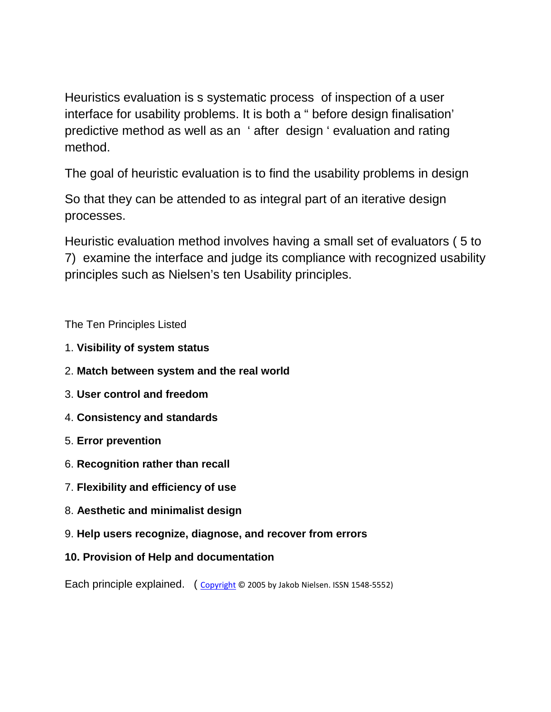Heuristics evaluation is s systematic process of inspection of a user interface for usability problems. It is both a " before design finalisation' predictive method as well as an ' after design ' evaluation and rating method.

The goal of heuristic evaluation is to find the usability problems in design

So that they can be attended to as integral part of an iterative design processes.

Heuristic evaluation method involves having a small set of evaluators ( 5 to 7) examine the interface and judge its compliance with recognized usability principles such as Nielsen's ten Usability principles.

The Ten Principles Listed

- 1. **Visibility of system status**
- 2. **Match between system and the real world**
- 3. **User control and freedom**
- 4. **Consistency and standards**
- 5. **Error prevention**
- 6. **Recognition rather than recall**
- 7. **Flexibility and efficiency of use**
- 8. **Aesthetic and minimalist design**
- 9. **Help users recognize, diagnose, and recover from errors**
- **10. Provision of Help and documentation**

Each principle explained. ([Copyright](http://www.useit.com/about/copyright.html) © 2005 by Jakob Nielsen. ISSN 1548-5552)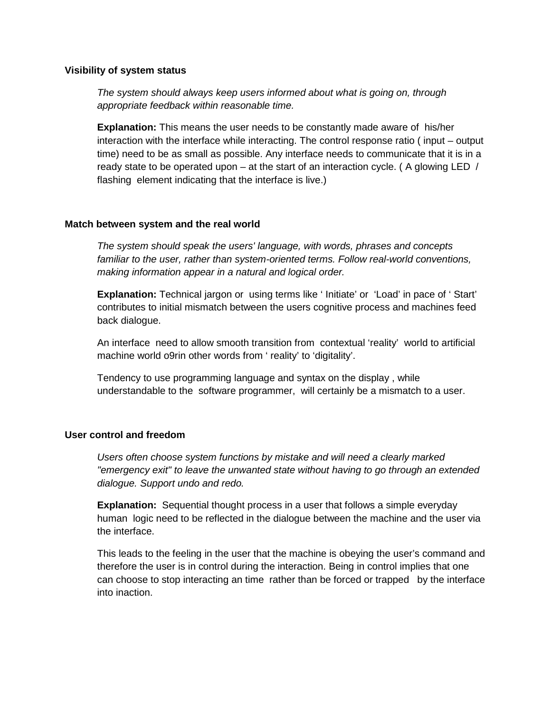#### **Visibility of system status**

*The system should always keep users informed about what is going on, through appropriate feedback within reasonable time.* 

**Explanation:** This means the user needs to be constantly made aware of his/her interaction with the interface while interacting. The control response ratio ( input – output time) need to be as small as possible. Any interface needs to communicate that it is in a ready state to be operated upon – at the start of an interaction cycle. ( A glowing LED / flashing element indicating that the interface is live.)

#### **Match between system and the real world**

*The system should speak the users' language, with words, phrases and concepts*  familiar to the user, rather than system-oriented terms. Follow real-world conventions, *making information appear in a natural and logical order.* 

**Explanation:** Technical jargon or using terms like ' Initiate' or 'Load' in pace of ' Start' contributes to initial mismatch between the users cognitive process and machines feed back dialogue.

An interface need to allow smooth transition from contextual 'reality' world to artificial machine world o9rin other words from ' reality' to 'digitality'.

Tendency to use programming language and syntax on the display , while understandable to the software programmer, will certainly be a mismatch to a user.

#### **User control and freedom**

*Users often choose system functions by mistake and will need a clearly marked "emergency exit" to leave the unwanted state without having to go through an extended dialogue. Support undo and redo.* 

**Explanation:** Sequential thought process in a user that follows a simple everyday human logic need to be reflected in the dialogue between the machine and the user via the interface.

This leads to the feeling in the user that the machine is obeying the user's command and therefore the user is in control during the interaction. Being in control implies that one can choose to stop interacting an time rather than be forced or trapped by the interface into inaction.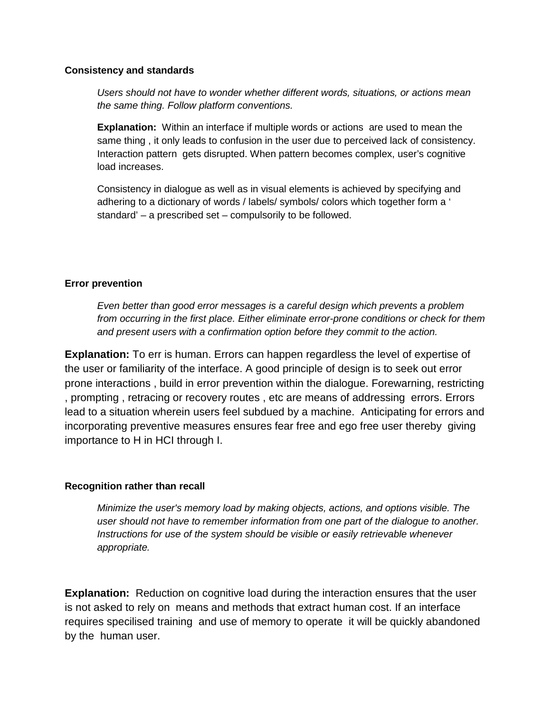#### **Consistency and standards**

*Users should not have to wonder whether different words, situations, or actions mean the same thing. Follow platform conventions.* 

**Explanation:** Within an interface if multiple words or actions are used to mean the same thing , it only leads to confusion in the user due to perceived lack of consistency. Interaction pattern gets disrupted. When pattern becomes complex, user's cognitive load increases.

Consistency in dialogue as well as in visual elements is achieved by specifying and adhering to a dictionary of words / labels/ symbols/ colors which together form a ' standard' – a prescribed set – compulsorily to be followed.

### **Error prevention**

*Even better than good error messages is a careful design which prevents a problem from occurring in the first place. Either eliminate error-prone conditions or check for them and present users with a confirmation option before they commit to the action.* 

**Explanation:** To err is human. Errors can happen regardless the level of expertise of the user or familiarity of the interface. A good principle of design is to seek out error prone interactions , build in error prevention within the dialogue. Forewarning, restricting , prompting , retracing or recovery routes , etc are means of addressing errors. Errors lead to a situation wherein users feel subdued by a machine. Anticipating for errors and incorporating preventive measures ensures fear free and ego free user thereby giving importance to H in HCI through I.

#### **Recognition rather than recall**

*Minimize the user's memory load by making objects, actions, and options visible. The user should not have to remember information from one part of the dialogue to another. Instructions for use of the system should be visible or easily retrievable whenever appropriate.* 

**Explanation:** Reduction on cognitive load during the interaction ensures that the user is not asked to rely on means and methods that extract human cost. If an interface requires specilised training and use of memory to operate it will be quickly abandoned by the human user.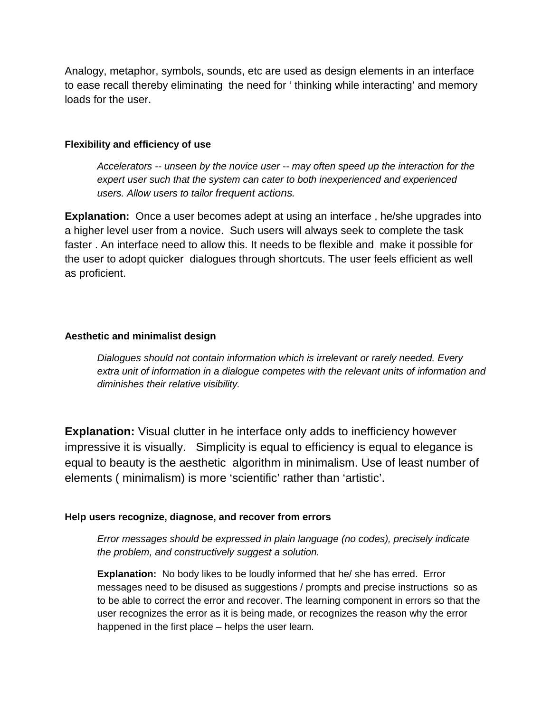Analogy, metaphor, symbols, sounds, etc are used as design elements in an interface to ease recall thereby eliminating the need for ' thinking while interacting' and memory loads for the user.

### **Flexibility and efficiency of use**

*Accelerators -- unseen by the novice user -- may often speed up the interaction for the expert user such that the system can cater to both inexperienced and experienced users. Allow users to tailor frequent actions.* 

**Explanation:** Once a user becomes adept at using an interface , he/she upgrades into a higher level user from a novice. Such users will always seek to complete the task faster . An interface need to allow this. It needs to be flexible and make it possible for the user to adopt quicker dialogues through shortcuts. The user feels efficient as well as proficient.

### **Aesthetic and minimalist design**

*Dialogues should not contain information which is irrelevant or rarely needed. Every extra unit of information in a dialogue competes with the relevant units of information and diminishes their relative visibility.* 

**Explanation:** Visual clutter in he interface only adds to inefficiency however impressive it is visually. Simplicity is equal to efficiency is equal to elegance is equal to beauty is the aesthetic algorithm in minimalism. Use of least number of elements ( minimalism) is more 'scientific' rather than 'artistic'.

## **Help users recognize, diagnose, and recover from errors**

*Error messages should be expressed in plain language (no codes), precisely indicate the problem, and constructively suggest a solution.* 

**Explanation:** No body likes to be loudly informed that he/ she has erred. Error messages need to be disused as suggestions / prompts and precise instructions so as to be able to correct the error and recover. The learning component in errors so that the user recognizes the error as it is being made, or recognizes the reason why the error happened in the first place – helps the user learn.